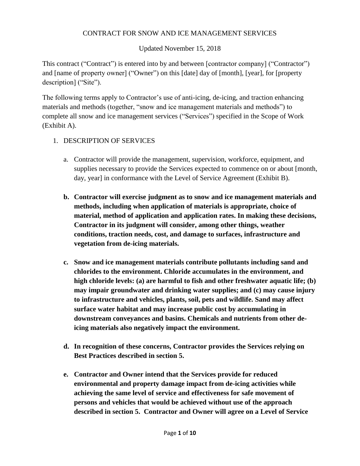### CONTRACT FOR SNOW AND ICE MANAGEMENT SERVICES

### Updated November 15, 2018

This contract ("Contract") is entered into by and between [contractor company] ("Contractor") and [name of property owner] ("Owner") on this [date] day of [month], [year], for [property description] ("Site").

The following terms apply to Contractor's use of anti-icing, de-icing, and traction enhancing materials and methods (together, "snow and ice management materials and methods") to complete all snow and ice management services ("Services") specified in the Scope of Work (Exhibit A).

### 1. DESCRIPTION OF SERVICES

- a. Contractor will provide the management, supervision, workforce, equipment, and supplies necessary to provide the Services expected to commence on or about [month, day, year] in conformance with the Level of Service Agreement (Exhibit B).
- **b. Contractor will exercise judgment as to snow and ice management materials and methods, including when application of materials is appropriate, choice of material, method of application and application rates. In making these decisions, Contractor in its judgment will consider, among other things, weather conditions, traction needs, cost, and damage to surfaces, infrastructure and vegetation from de-icing materials.**
- **c. Snow and ice management materials contribute pollutants including sand and chlorides to the environment. Chloride accumulates in the environment, and high chloride levels: (a) are harmful to fish and other freshwater aquatic life; (b) may impair groundwater and drinking water supplies; and (c) may cause injury to infrastructure and vehicles, plants, soil, pets and wildlife. Sand may affect surface water habitat and may increase public cost by accumulating in downstream conveyances and basins. Chemicals and nutrients from other deicing materials also negatively impact the environment.**
- **d. In recognition of these concerns, Contractor provides the Services relying on Best Practices described in section 5.**
- **e. Contractor and Owner intend that the Services provide for reduced environmental and property damage impact from de-icing activities while achieving the same level of service and effectiveness for safe movement of persons and vehicles that would be achieved without use of the approach described in section 5. Contractor and Owner will agree on a Level of Service**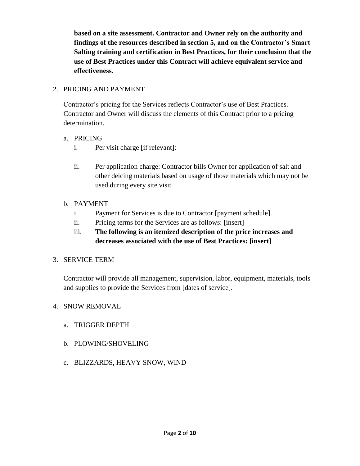**based on a site assessment. Contractor and Owner rely on the authority and findings of the resources described in section 5, and on the Contractor's Smart Salting training and certification in Best Practices, for their conclusion that the use of Best Practices under this Contract will achieve equivalent service and effectiveness.** 

### 2. PRICING AND PAYMENT

Contractor's pricing for the Services reflects Contractor's use of Best Practices. Contractor and Owner will discuss the elements of this Contract prior to a pricing determination.

### a. PRICING

- i. Per visit charge [if relevant]:
- ii. Per application charge: Contractor bills Owner for application of salt and other deicing materials based on usage of those materials which may not be used during every site visit.

### b. PAYMENT

- i. Payment for Services is due to Contractor [payment schedule].
- ii. Pricing terms for the Services are as follows: [insert]

# iii. **The following is an itemized description of the price increases and decreases associated with the use of Best Practices: [insert]**

### 3. SERVICE TERM

Contractor will provide all management, supervision, labor, equipment, materials, tools and supplies to provide the Services from [dates of service].

### 4. SNOW REMOVAL

- a. TRIGGER DEPTH
- b. PLOWING/SHOVELING
- c. BLIZZARDS, HEAVY SNOW, WIND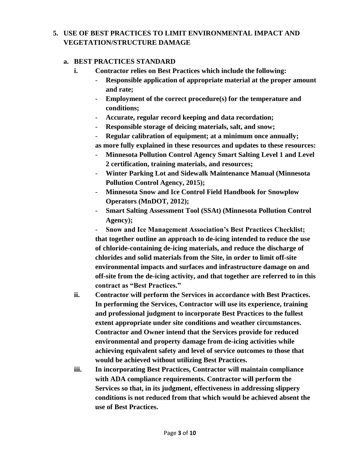# **5. USE OF BEST PRACTICES TO LIMIT ENVIRONMENTAL IMPACT AND VEGETATION/STRUCTURE DAMAGE**

### **a. BEST PRACTICES STANDARD**

- **i. Contractor relies on Best Practices which include the following:**
	- **Responsible application of appropriate material at the proper amount and rate;**
	- **Employment of the correct procedure(s) for the temperature and conditions;**
	- **Accurate, regular record keeping and data recordation;**
	- **Responsible storage of deicing materials, salt, and snow;**
	- **Regular calibration of equipment; at a minimum once annually;**

**as more fully explained in these resources and updates to these resources:** 

- **Minnesota Pollution Control Agency Smart Salting Level 1 and Level 2 certification, training materials, and resources;**
- **Winter Parking Lot and Sidewalk Maintenance Manual (Minnesota Pollution Control Agency, 2015);**
- **Minnesota Snow and Ice Control Field Handbook for Snowplow Operators (MnDOT, 2012);**
- **Smart Salting Assessment Tool (SSAt) (Minnesota Pollution Control Agency);**

- **Snow and Ice Management Association's Best Practices Checklist; that together outline an approach to de-icing intended to reduce the use of chloride-containing de-icing materials, and reduce the discharge of chlorides and solid materials from the Site, in order to limit off-site environmental impacts and surfaces and infrastructure damage on and off-site from the de-icing activity, and that together are referred to in this contract as "Best Practices."**

- **ii. Contractor will perform the Services in accordance with Best Practices. In performing the Services, Contractor will use its experience, training and professional judgment to incorporate Best Practices to the fullest extent appropriate under site conditions and weather circumstances. Contractor and Owner intend that the Services provide for reduced environmental and property damage from de-icing activities while achieving equivalent safety and level of service outcomes to those that would be achieved without utilizing Best Practices.**
- **iii. In incorporating Best Practices, Contractor will maintain compliance with ADA compliance requirements. Contractor will perform the Services so that, in its judgment, effectiveness in addressing slippery conditions is not reduced from that which would be achieved absent the use of Best Practices.**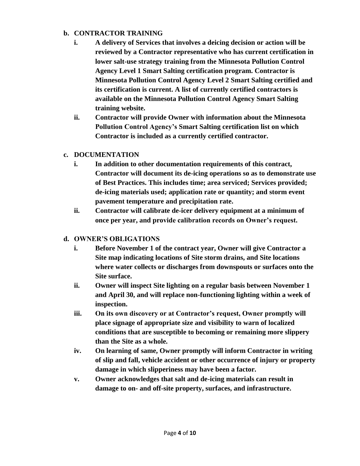### **b. CONTRACTOR TRAINING**

- **i. A delivery of Services that involves a deicing decision or action will be reviewed by a Contractor representative who has current certification in lower salt-use strategy training from the Minnesota Pollution Control Agency Level 1 Smart Salting certification program. Contractor is Minnesota Pollution Control Agency Level 2 Smart Salting certified and its certification is current. A list of currently certified contractors is available on the Minnesota Pollution Control Agency Smart Salting training website.**
- **ii. Contractor will provide Owner with information about the Minnesota Pollution Control Agency's Smart Salting certification list on which Contractor is included as a currently certified contractor.**

### **c. DOCUMENTATION**

- **i. In addition to other documentation requirements of this contract, Contractor will document its de-icing operations so as to demonstrate use of Best Practices. This includes time; area serviced; Services provided; de-icing materials used; application rate or quantity; and storm event pavement temperature and precipitation rate.**
- **ii. Contractor will calibrate de-icer delivery equipment at a minimum of once per year, and provide calibration records on Owner's request.**

### **d. OWNER'S OBLIGATIONS**

- **i. Before November 1 of the contract year, Owner will give Contractor a Site map indicating locations of Site storm drains, and Site locations where water collects or discharges from downspouts or surfaces onto the Site surface.**
- **ii. Owner will inspect Site lighting on a regular basis between November 1 and April 30, and will replace non-functioning lighting within a week of inspection.**
- **iii. On its own discovery or at Contractor's request, Owner promptly will place signage of appropriate size and visibility to warn of localized conditions that are susceptible to becoming or remaining more slippery than the Site as a whole.**
- **iv. On learning of same, Owner promptly will inform Contractor in writing of slip and fall, vehicle accident or other occurrence of injury or property damage in which slipperiness may have been a factor.**
- **v. Owner acknowledges that salt and de-icing materials can result in damage to on- and off-site property, surfaces, and infrastructure.**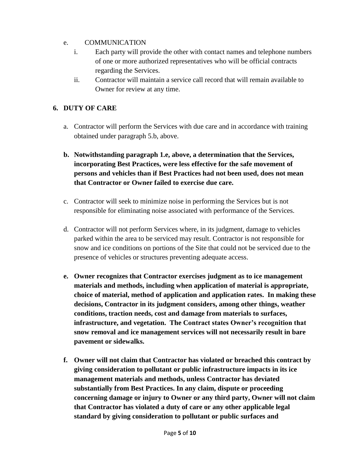### e. COMMUNICATION

- i. Each party will provide the other with contact names and telephone numbers of one or more authorized representatives who will be official contracts regarding the Services.
- ii. Contractor will maintain a service call record that will remain available to Owner for review at any time.

## **6. DUTY OF CARE**

- a. Contractor will perform the Services with due care and in accordance with training obtained under paragraph 5.b, above.
- **b. Notwithstanding paragraph 1.e, above, a determination that the Services, incorporating Best Practices, were less effective for the safe movement of persons and vehicles than if Best Practices had not been used, does not mean that Contractor or Owner failed to exercise due care.**
- c. Contractor will seek to minimize noise in performing the Services but is not responsible for eliminating noise associated with performance of the Services.
- d. Contractor will not perform Services where, in its judgment, damage to vehicles parked within the area to be serviced may result. Contractor is not responsible for snow and ice conditions on portions of the Site that could not be serviced due to the presence of vehicles or structures preventing adequate access.
- **e. Owner recognizes that Contractor exercises judgment as to ice management materials and methods, including when application of material is appropriate, choice of material, method of application and application rates. In making these decisions, Contractor in its judgment considers, among other things, weather conditions, traction needs, cost and damage from materials to surfaces, infrastructure, and vegetation. The Contract states Owner's recognition that snow removal and ice management services will not necessarily result in bare pavement or sidewalks.**
- **f. Owner will not claim that Contractor has violated or breached this contract by giving consideration to pollutant or public infrastructure impacts in its ice management materials and methods, unless Contractor has deviated substantially from Best Practices. In any claim, dispute or proceeding concerning damage or injury to Owner or any third party, Owner will not claim that Contractor has violated a duty of care or any other applicable legal standard by giving consideration to pollutant or public surfaces and**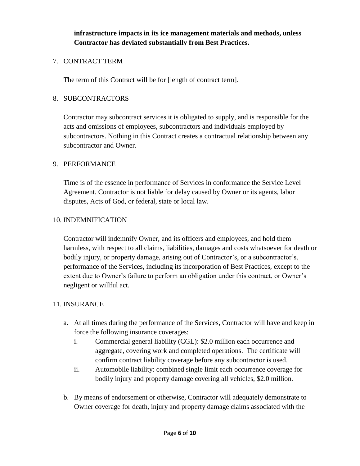**infrastructure impacts in its ice management materials and methods, unless Contractor has deviated substantially from Best Practices.** 

### 7. CONTRACT TERM

The term of this Contract will be for [length of contract term].

### 8. SUBCONTRACTORS

Contractor may subcontract services it is obligated to supply, and is responsible for the acts and omissions of employees, subcontractors and individuals employed by subcontractors. Nothing in this Contract creates a contractual relationship between any subcontractor and Owner.

### 9. PERFORMANCE

Time is of the essence in performance of Services in conformance the Service Level Agreement. Contractor is not liable for delay caused by Owner or its agents, labor disputes, Acts of God, or federal, state or local law.

### 10. INDEMNIFICATION

Contractor will indemnify Owner, and its officers and employees, and hold them harmless, with respect to all claims, liabilities, damages and costs whatsoever for death or bodily injury, or property damage, arising out of Contractor's, or a subcontractor's, performance of the Services, including its incorporation of Best Practices, except to the extent due to Owner's failure to perform an obligation under this contract, or Owner's negligent or willful act.

### 11. INSURANCE

- a. At all times during the performance of the Services, Contractor will have and keep in force the following insurance coverages:
	- i. Commercial general liability (CGL): \$2.0 million each occurrence and aggregate, covering work and completed operations. The certificate will confirm contract liability coverage before any subcontractor is used.
	- ii. Automobile liability: combined single limit each occurrence coverage for bodily injury and property damage covering all vehicles, \$2.0 million.
- b. By means of endorsement or otherwise, Contractor will adequately demonstrate to Owner coverage for death, injury and property damage claims associated with the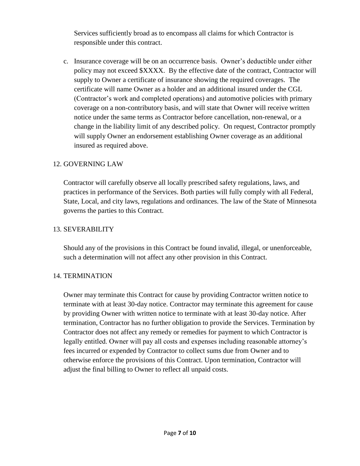Services sufficiently broad as to encompass all claims for which Contractor is responsible under this contract.

c. Insurance coverage will be on an occurrence basis. Owner's deductible under either policy may not exceed \$XXXX. By the effective date of the contract, Contractor will supply to Owner a certificate of insurance showing the required coverages. The certificate will name Owner as a holder and an additional insured under the CGL (Contractor's work and completed operations) and automotive policies with primary coverage on a non-contributory basis, and will state that Owner will receive written notice under the same terms as Contractor before cancellation, non-renewal, or a change in the liability limit of any described policy. On request, Contractor promptly will supply Owner an endorsement establishing Owner coverage as an additional insured as required above.

### 12. GOVERNING LAW

Contractor will carefully observe all locally prescribed safety regulations, laws, and practices in performance of the Services. Both parties will fully comply with all Federal, State, Local, and city laws, regulations and ordinances. The law of the State of Minnesota governs the parties to this Contract.

### 13. SEVERABILITY

Should any of the provisions in this Contract be found invalid, illegal, or unenforceable, such a determination will not affect any other provision in this Contract.

### 14. TERMINATION

Owner may terminate this Contract for cause by providing Contractor written notice to terminate with at least 30-day notice. Contractor may terminate this agreement for cause by providing Owner with written notice to terminate with at least 30-day notice. After termination, Contractor has no further obligation to provide the Services. Termination by Contractor does not affect any remedy or remedies for payment to which Contractor is legally entitled. Owner will pay all costs and expenses including reasonable attorney's fees incurred or expended by Contractor to collect sums due from Owner and to otherwise enforce the provisions of this Contract. Upon termination, Contractor will adjust the final billing to Owner to reflect all unpaid costs.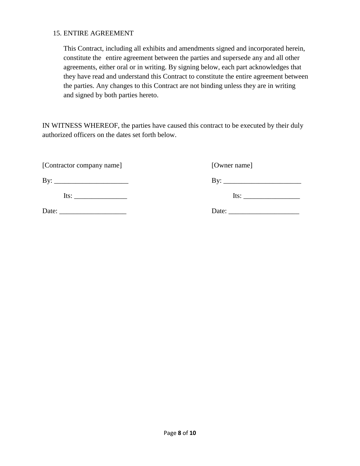#### 15. ENTIRE AGREEMENT

This Contract, including all exhibits and amendments signed and incorporated herein, constitute the entire agreement between the parties and supersede any and all other agreements, either oral or in writing. By signing below, each part acknowledges that they have read and understand this Contract to constitute the entire agreement between the parties. Any changes to this Contract are not binding unless they are in writing and signed by both parties hereto.

IN WITNESS WHEREOF, the parties have caused this contract to be executed by their duly authorized officers on the dates set forth below.

[Contractor company name] [Owner name]

By: \_\_\_\_\_\_\_\_\_\_\_\_\_\_\_\_\_\_\_\_\_ By: \_\_\_\_\_\_\_\_\_\_\_\_\_\_\_\_\_\_\_\_\_\_

Its: \_\_\_\_\_\_\_\_\_\_\_\_\_\_\_ Its: \_\_\_\_\_\_\_\_\_\_\_\_\_\_\_\_

Date: \_\_\_\_\_\_\_\_\_\_\_\_\_\_\_\_\_\_\_ Date: \_\_\_\_\_\_\_\_\_\_\_\_\_\_\_\_\_\_\_\_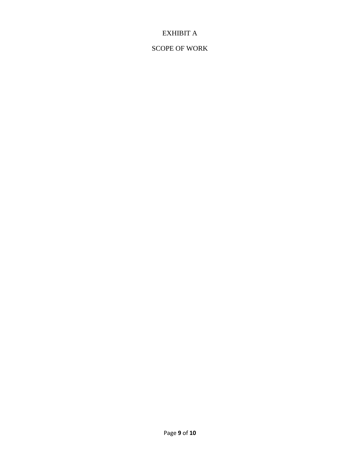# EXHIBIT A

# SCOPE OF WORK